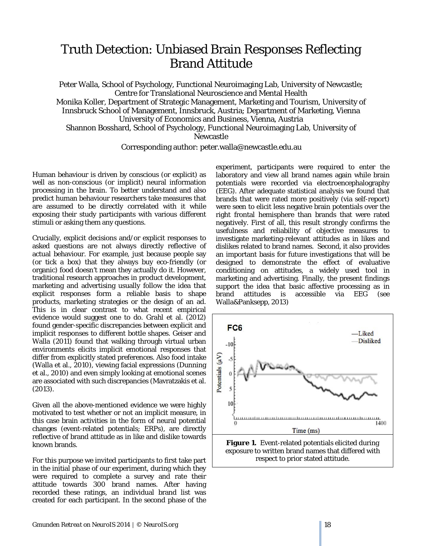## Truth Detection: Unbiased Brain Responses Reflecting Brand Attitude

Peter Walla, School of Psychology, Functional Neuroimaging Lab, University of Newcastle; Centre for Translational Neuroscience and Mental Health Monika Koller, Department of Strategic Management, Marketing and Tourism, University of Innsbruck School of Management, Innsbruck, Austria; Department of Marketing, Vienna University of Economics and Business, Vienna, Austria Shannon Bosshard, School of Psychology, Functional Neuroimaging Lab, University of Newcastle

## Corresponding author: peter.walla@newcastle.edu.au

Human behaviour is driven by conscious (or explicit) as well as non-conscious (or implicit) neural information processing in the brain. To better understand and also predict human behaviour researchers take measures that are assumed to be directly correlated with it while exposing their study participants with various different stimuli or asking them any questions.

Crucially, explicit decisions and/or explicit responses to asked questions are not always directly reflective of actual behaviour. For example, just because people say (or tick a box) that they always buy eco-friendly (or organic) food doesn't mean they actually do it. However, traditional research approaches in product development, marketing and advertising usually follow the idea that explicit responses form a reliable basis to shape products, marketing strategies or the design of an ad. This is in clear contrast to what recent empirical evidence would suggest one to do. Grahl et al. (2012) found gender-specific discrepancies between explicit and implicit responses to different bottle shapes. Geiser and Walla (2011) found that walking through virtual urban environments elicits implicit emotional responses that differ from explicitly stated preferences. Also food intake (Walla et al., 2010), viewing facial expressions (Dunning et al., 2010) and even simply looking at emotional scenes are associated with such discrepancies (Mavratzakis et al. (2013).

Given all the above-mentioned evidence we were highly motivated to test whether or not an implicit measure, in this case brain activities in the form of neural potential changes (event-related potentials; ERPs), are directly reflective of brand attitude as in like and dislike towards known brands.

For this purpose we invited participants to first take part in the initial phase of our experiment, during which they were required to complete a survey and rate their attitude towards 300 brand names. After having recorded these ratings, an individual brand list was created for each participant. In the second phase of the

experiment, participants were required to enter the laboratory and view all brand names again while brain potentials were recorded via electroencephalography (EEG). After adequate statistical analysis we found that brands that were rated more positively (via self-report) were seen to elicit less negative brain potentials over the right frontal hemisphere than brands that were rated negatively. First of all, this result strongly confirms the usefulness and reliability of objective measures to investigate marketing-relevant attitudes as in likes and dislikes related to brand names. Second, it also provides an important basis for future investigations that will be designed to demonstrate the effect of evaluative conditioning on attitudes, a widely used tool in marketing and advertising. Finally, the present findings support the idea that basic affective processing as in brand attitudes is accessible via EEG (see Walla&Panksepp, 2013)



**Figure 1.** Event-related potentials elicited during exposure to written brand names that differed with respect to prior stated attitude.